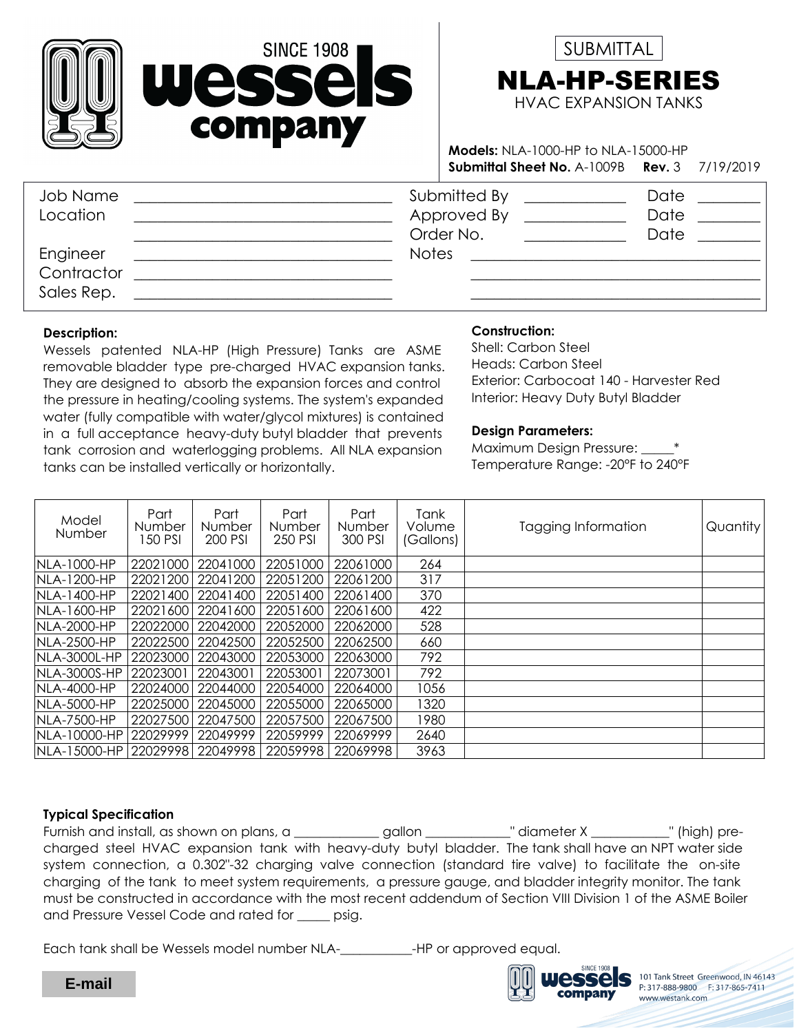



**Models:** NLA-1000-HP to NLA-15000-HP **Submittal Sheet No.** A-1009B **Rev.** 3 7/19/2019

| Job Name<br>Location                 | Submitted By<br>Approved By<br>Order No. | Date<br>Date<br>Date |
|--------------------------------------|------------------------------------------|----------------------|
| Engineer<br>Contractor<br>Sales Rep. | <b>Notes</b>                             |                      |

### **Description:**

Wessels patented NLA-HP (High Pressure) Tanks are ASME removable bladder type pre-charged HVAC expansion tanks. They are designed to absorb the expansion forces and control the pressure in heating/cooling systems. The system's expanded water (fully compatible with water/glycol mixtures) is contained in a full acceptance heavy-duty butyl bladder that prevents tank corrosion and waterlogging problems. All NLA expansion tanks can be installed vertically or horizontally.

### **Construction:**

Shell: Carbon Steel Heads: Carbon Steel Exterior: Carbocoat 140 - Harvester Red Interior: Heavy Duty Butyl Bladder

#### **Design Parameters:**

Maximum Design Pressure: \_\_\_\_\_\_\* Temperature Range: -20°F to 240°F

| Model<br>Number         | Part<br>Number<br>150 PSI | Part<br>Number<br>200 PSI | Part<br>Number<br>250 PSI | Part<br>Number<br>300 PSI | Tank<br>Volume<br>(Gallons) | Tagging Information | Quantity |
|-------------------------|---------------------------|---------------------------|---------------------------|---------------------------|-----------------------------|---------------------|----------|
| NLA-1000-HP             | 22021000                  | 22041000                  | 22051000                  | 22061000                  | 264                         |                     |          |
| <b>INLA-1200-HP</b>     | 22021200                  | 22041200                  | 22051200                  | 22061200                  | 317                         |                     |          |
| <b>INLA-1400-HP</b>     | 22021400                  | 22041400                  | 22051400                  | 22061400                  | 370                         |                     |          |
| <b>INLA-1600-HP</b>     | 22021600                  | 22041600                  | 22051600                  | 22061600                  | 422                         |                     |          |
| <b>NLA-2000-HP</b>      | 22022000                  | 22042000                  | 22052000                  | 22062000                  | 528                         |                     |          |
| <b>INLA-2500-HP</b>     | 22022500                  | 22042500                  | 22052500                  | 22062500                  | 660                         |                     |          |
| <b>NLA-3000L-HP</b>     | 22023000                  | 22043000                  | 22053000                  | 22063000                  | 792                         |                     |          |
| <b>NLA-3000S-HP</b>     | 22023001                  | 22043001                  | 22053001                  | 22073001                  | 792                         |                     |          |
| <b>INLA-4000-HP</b>     | 22024000                  | 22044000                  | 22054000                  | 22064000                  | 1056                        |                     |          |
| <b>INLA-5000-HP</b>     | 22025000                  | 22045000                  | 22055000                  | 22065000                  | 1320                        |                     |          |
| NLA-7500-HP             | 22027500                  | 22047500                  | 22057500                  | 22067500                  | 1980                        |                     |          |
| NLA-10000-HP            | 22029999                  | 22049999                  | 22059999                  | 22069999                  | 2640                        |                     |          |
| NLA-15000-HP   22029998 |                           | 22049998                  | 22059998                  | 22069998                  | 3963                        |                     |          |

### **Typical Specification**

Furnish and install, as shown on plans, a \_\_\_\_\_\_\_\_\_\_\_\_gallon \_\_\_\_\_\_\_\_\_\_\_\_" diameter X \_\_\_\_\_\_\_\_\_\_\_" (high) precharged steel HVAC expansion tank with heavy-duty butyl bladder. The tank shall have an NPT water side system connection, a 0.302"-32 charging valve connection (standard tire valve) to facilitate the on-site charging of the tank to meet system requirements, a pressure gauge, and bladder integrity monitor. The tank must be constructed in accordance with the most recent addendum of Section VIII Division 1 of the ASME Boiler and Pressure Vessel Code and rated for psig.

Each tank shall be Wessels model number NLA-\_\_\_\_\_\_\_\_\_\_\_-HP or approved equal.



101 Tank Street Greenwood, IN 46143 P: 317-888-9800 F: 317-865-7411 www.westank.com

**E-mail**